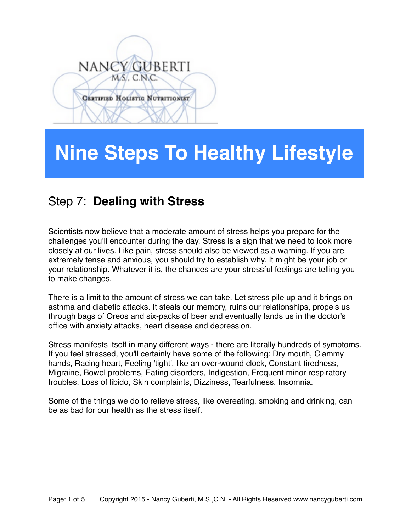# NANCY GUBERTI MS. C.N.C. **CERTIFIED HOLISTIC NUTRITIONIST**

## **Nine Steps To Healthy Lifestyle**

## Step 7: **Dealing with Stress**

Scientists now believe that a moderate amount of stress helps you prepare for the challenges you'll encounter during the day. Stress is a sign that we need to look more closely at our lives. Like pain, stress should also be viewed as a warning. If you are extremely tense and anxious, you should try to establish why. It might be your job or your relationship. Whatever it is, the chances are your stressful feelings are telling you to make changes.

There is a limit to the amount of stress we can take. Let stress pile up and it brings on asthma and diabetic attacks. It steals our memory, ruins our relationships, propels us through bags of Oreos and six-packs of beer and eventually lands us in the doctor's office with anxiety attacks, heart disease and depression.

Stress manifests itself in many different ways - there are literally hundreds of symptoms. If you feel stressed, you'll certainly have some of the following: Dry mouth, Clammy hands, Racing heart, Feeling 'tight', like an over-wound clock, Constant tiredness, [Migraine](http://www.netdoctor.co.uk/brain_nervous_system/migraine.htm), Bowel problems, [Eating disorders](http://www.netdoctor.co.uk/dietandnutrition/eatingdisorders.htm), Indigestion, Frequent minor respiratory troubles. [Loss of libido](http://www.netdoctor.co.uk/sex_relationships/facts/lackingsexdrive.htm), Skin complaints, Dizziness, Tearfulness, [Insomnia](http://www.netdoctor.co.uk/diseases/facts/insomnia.htm).

Some of the things we do to relieve stress, like overeating, [smoking](http://www.netdoctor.co.uk/health_advice/facts/smokequit.htm) and [drinking,](http://www.netdoctor.co.uk/alcoholanddrugs/alcohol_toomuch.htm) can be as bad for our health as the stress itself.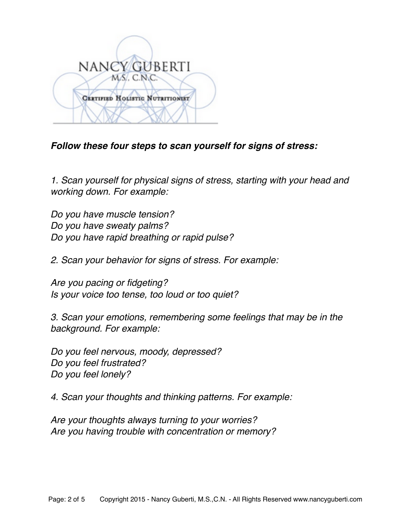

#### *Follow these four steps to scan yourself for signs of stress:*

*1. Scan yourself for physical signs of stress, starting with your head and working down. For example:*

*Do you have muscle tension? Do you have sweaty palms? Do you have rapid breathing or rapid pulse?* 

*2. Scan your behavior for signs of stress. For example:* 

*Are you pacing or fidgeting? Is your voice too tense, too loud or too quiet?* 

*3. Scan your emotions, remembering some feelings that may be in the background. For example:*

*Do you feel nervous, moody, depressed? Do you feel frustrated? Do you feel lonely?* 

*4. Scan your thoughts and thinking patterns. For example:*

*Are your thoughts always turning to your worries? Are you having trouble with concentration or memory?*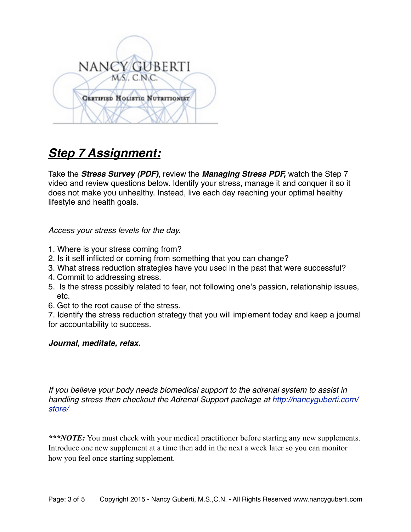

## *Step 7 Assignment:*

Take the *Stress Survey (PDF)*, review the *Managing Stress PDF,* watch the Step 7 video and review questions below. Identify your stress, manage it and conquer it so it does not make you unhealthy. Instead, live each day reaching your optimal healthy lifestyle and health goals.

*Access your stress levels for the day.*

- 1. Where is your stress coming from?
- 2. Is it self inflicted or coming from something that you can change?
- 3. What stress reduction strategies have you used in the past that were successful?
- 4. Commit to addressing stress.
- 5. Is the stress possibly related to fear, not following one's passion, relationship issues, etc.
- 6. Get to the root cause of the stress.

7. Identify the stress reduction strategy that you will implement today and keep a journal for accountability to success.

#### *Journal, meditate, relax.*

*If you believe your body needs biomedical support to the adrenal system to assist in handling stress then checkout the Adrenal Support package at [http://nancyguberti.com/](http://nancyguberti.com/store/) [store/](http://nancyguberti.com/store/)*

*\*\*\*NOTE:* You must check with your medical practitioner before starting any new supplements. Introduce one new supplement at a time then add in the next a week later so you can monitor how you feel once starting supplement.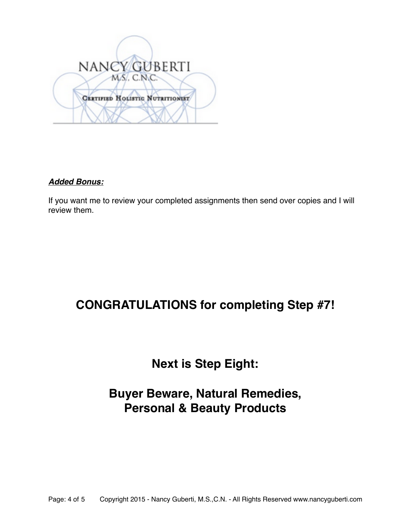

#### *Added Bonus:*

If you want me to review your completed assignments then send over copies and I will review them.

## **CONGRATULATIONS for completing Step #7!**

## **Next is Step Eight:**

## **Buyer Beware, Natural Remedies, Personal & Beauty Products**